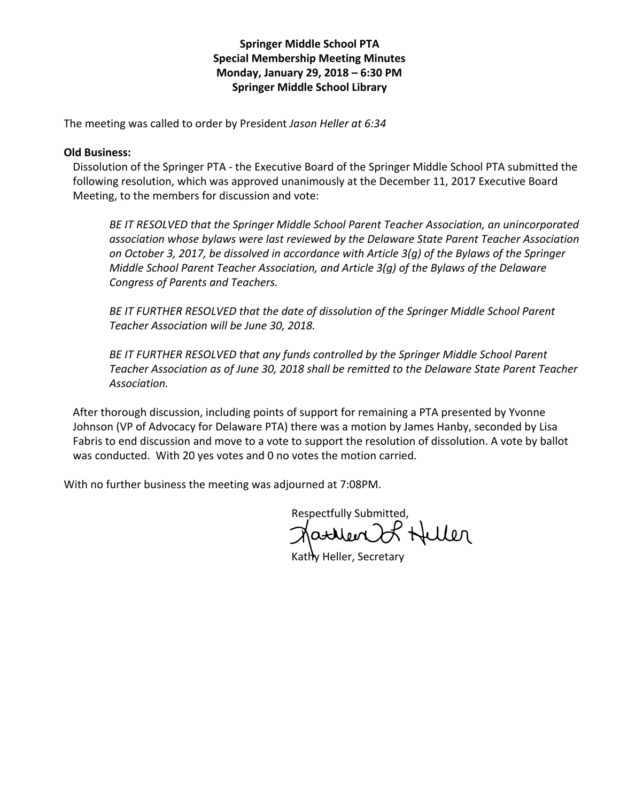## Springer Middle School PTA Special Membership Meeting Minutes Monday, January 29, 2018 – 6:30 PM Springer Middle School Library

The meeting was called to order by President Jason Heller at 6:34

## Old Business:

Dissolution of the Springer PTA - the Executive Board of the Springer Middle School PTA submitted the following resolution, which was approved unanimously at the December 11, 2017 Executive Board Meeting, to the members for discussion and vote:

BE IT RESOLVED that the Springer Middle School Parent Teacher Association, an unincorporated association whose bylaws were last reviewed by the Delaware State Parent Teacher Association on October 3, 2017, be dissolved in accordance with Article 3(g) of the Bylaws of the Springer Middle School Parent Teacher Association, and Article 3(g) of the Bylaws of the Delaware Congress of Parents and Teachers.

BE IT FURTHER RESOLVED that the date of dissolution of the Springer Middle School Parent Teacher Association will be June 30, 2018.

BE IT FURTHER RESOLVED that any funds controlled by the Springer Middle School Parent Teacher Association as of June 30, 2018 shall be remitted to the Delaware State Parent Teacher Association.

After thorough discussion, including points of support for remaining a PTA presented by Yvonne Johnson (VP of Advocacy for Delaware PTA) there was a motion by James Hanby, seconded by Lisa Fabris to end discussion and move to a vote to support the resolution of dissolution. A vote by ballot was conducted. With 20 yes votes and 0 no votes the motion carried.

With no further business the meeting was adjourned at 7:08PM.

Respectfully Submitted,<br>Natural Hellen

Kathy Heller, Secretary